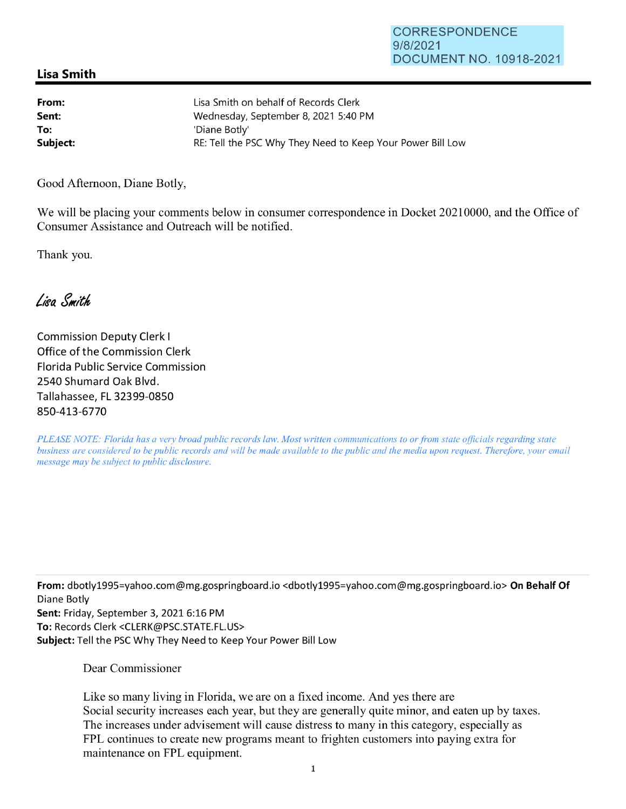## **Lisa Smith**

| From:    | Lisa Smith on behalf of Records Clerk                      |
|----------|------------------------------------------------------------|
| Sent:    | Wednesday, September 8, 2021 5:40 PM                       |
| To:      | 'Diane Botly'                                              |
| Subject: | RE: Tell the PSC Why They Need to Keep Your Power Bill Low |

Good Afternoon, Diane Botly,

We will be placing your comments below in consumer correspondence in Docket 20210000, and the Office of Consumer Assistance and Outreach will be notified.

Thank you.

Lisa Smith

Commission Deputy Clerk I Office of the Commission Clerk Florida Public Service Commission 2540 Shumard Oak Blvd. Tallahassee, FL 32399-0850 850-413-6770

*PLEASE NOTE: Florida has a very broad public records law. Most written communications to or from state officials regarding state business are considered to be public records and will be made available to the public and the media upon request. Therefore, your email message may be subject to public disclosure.* 

**From:** dbotly1995=yahoo.com@mg.gospringboard .io <dbotly1995=yahoo.com@mg.gospringboard.io> **On Behalf Of**  Diane Botly **Sent:** Friday, September 3, 2021 6:16 PM **To:** Records Clerk <CLERK@PSC.STATE.FL.US> **Subject:** Tell the PSC Why They Need to Keep Your Power Bill Low

Dear Commissioner

Like so many living in Florida, we are on a fixed income. And yes there are Social security increases each year, but they are generally quite minor, and eaten up by taxes. The increases under advisement will cause distress to many in this category, especially as FPL continues to create new programs meant to frighten customers into paying extra for maintenance on FPL equipment.